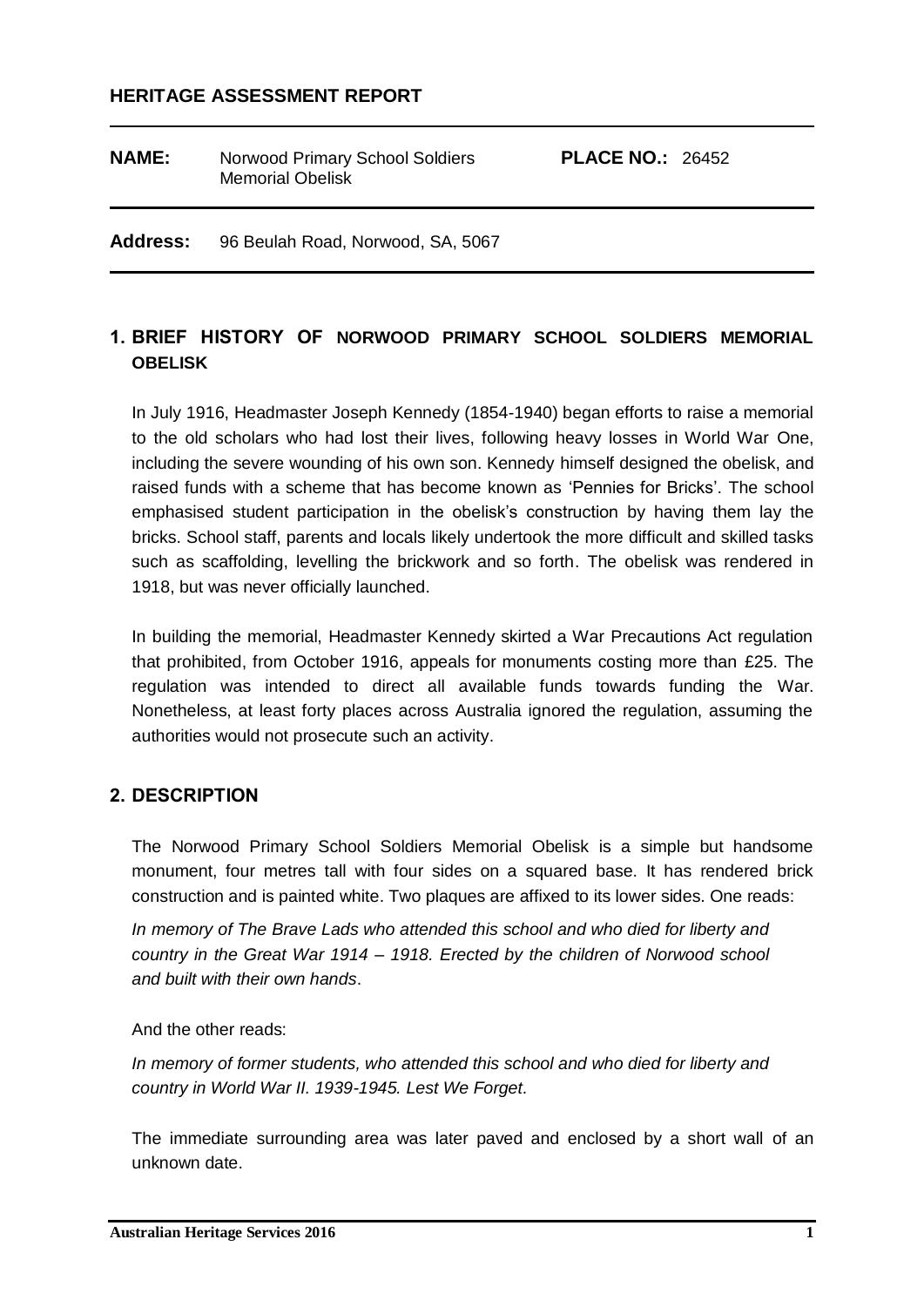#### **HERITAGE ASSESSMENT REPORT**

| <b>NAME:</b> | Norwood Primary School Soldiers<br><b>Memorial Obelisk</b> | <b>PLACE NO.: 26452</b> |  |
|--------------|------------------------------------------------------------|-------------------------|--|
|              |                                                            |                         |  |

**Address:** 96 Beulah Road, Norwood, SA, 5067

## **1. BRIEF HISTORY OF NORWOOD PRIMARY SCHOOL SOLDIERS MEMORIAL OBELISK**

In July 1916, Headmaster Joseph Kennedy (1854-1940) began efforts to raise a memorial to the old scholars who had lost their lives, following heavy losses in World War One, including the severe wounding of his own son. Kennedy himself designed the obelisk, and raised funds with a scheme that has become known as 'Pennies for Bricks'. The school emphasised student participation in the obelisk's construction by having them lay the bricks. School staff, parents and locals likely undertook the more difficult and skilled tasks such as scaffolding, levelling the brickwork and so forth. The obelisk was rendered in 1918, but was never officially launched.

In building the memorial, Headmaster Kennedy skirted a War Precautions Act regulation that prohibited, from October 1916, appeals for monuments costing more than £25. The regulation was intended to direct all available funds towards funding the War. Nonetheless, at least forty places across Australia ignored the regulation, assuming the authorities would not prosecute such an activity.

#### **2. DESCRIPTION**

The Norwood Primary School Soldiers Memorial Obelisk is a simple but handsome monument, four metres tall with four sides on a squared base. It has rendered brick construction and is painted white. Two plaques are affixed to its lower sides. One reads:

*In memory of The Brave Lads who attended this school and who died for liberty and country in the Great War 1914 – 1918. Erected by the children of Norwood school and built with their own hands*.

#### And the other reads:

*In memory of former students, who attended this school and who died for liberty and country in World War II. 1939-1945. Lest We Forget.*

The immediate surrounding area was later paved and enclosed by a short wall of an unknown date.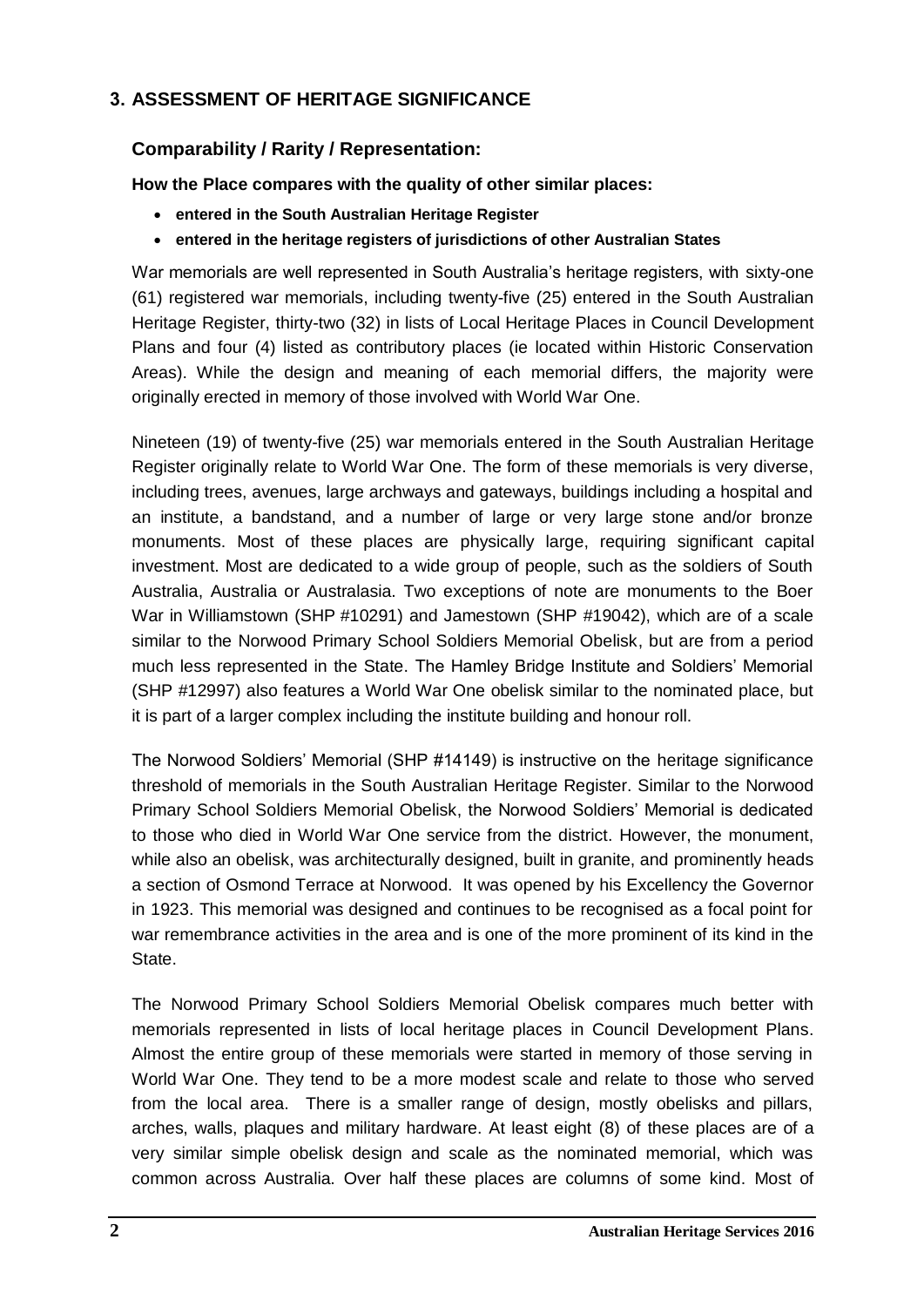## **3. ASSESSMENT OF HERITAGE SIGNIFICANCE**

## **Comparability / Rarity / Representation:**

**How the Place compares with the quality of other similar places:**

- **entered in the South Australian Heritage Register**
- **entered in the heritage registers of jurisdictions of other Australian States**

War memorials are well represented in South Australia's heritage registers, with sixty-one (61) registered war memorials, including twenty-five (25) entered in the South Australian Heritage Register, thirty-two (32) in lists of Local Heritage Places in Council Development Plans and four (4) listed as contributory places (ie located within Historic Conservation Areas). While the design and meaning of each memorial differs, the majority were originally erected in memory of those involved with World War One.

Nineteen (19) of twenty-five (25) war memorials entered in the South Australian Heritage Register originally relate to World War One. The form of these memorials is very diverse, including trees, avenues, large archways and gateways, buildings including a hospital and an institute, a bandstand, and a number of large or very large stone and/or bronze monuments. Most of these places are physically large, requiring significant capital investment. Most are dedicated to a wide group of people, such as the soldiers of South Australia, Australia or Australasia. Two exceptions of note are monuments to the Boer War in Williamstown (SHP #10291) and Jamestown (SHP #19042), which are of a scale similar to the Norwood Primary School Soldiers Memorial Obelisk, but are from a period much less represented in the State. The Hamley Bridge Institute and Soldiers' Memorial (SHP #12997) also features a World War One obelisk similar to the nominated place, but it is part of a larger complex including the institute building and honour roll.

The Norwood Soldiers' Memorial (SHP #14149) is instructive on the heritage significance threshold of memorials in the South Australian Heritage Register. Similar to the Norwood Primary School Soldiers Memorial Obelisk, the Norwood Soldiers' Memorial is dedicated to those who died in World War One service from the district. However, the monument, while also an obelisk, was architecturally designed, built in granite, and prominently heads a section of Osmond Terrace at Norwood. It was opened by his Excellency the Governor in 1923. This memorial was designed and continues to be recognised as a focal point for war remembrance activities in the area and is one of the more prominent of its kind in the State.

The Norwood Primary School Soldiers Memorial Obelisk compares much better with memorials represented in lists of local heritage places in Council Development Plans. Almost the entire group of these memorials were started in memory of those serving in World War One. They tend to be a more modest scale and relate to those who served from the local area. There is a smaller range of design, mostly obelisks and pillars, arches, walls, plaques and military hardware. At least eight (8) of these places are of a very similar simple obelisk design and scale as the nominated memorial, which was common across Australia. Over half these places are columns of some kind. Most of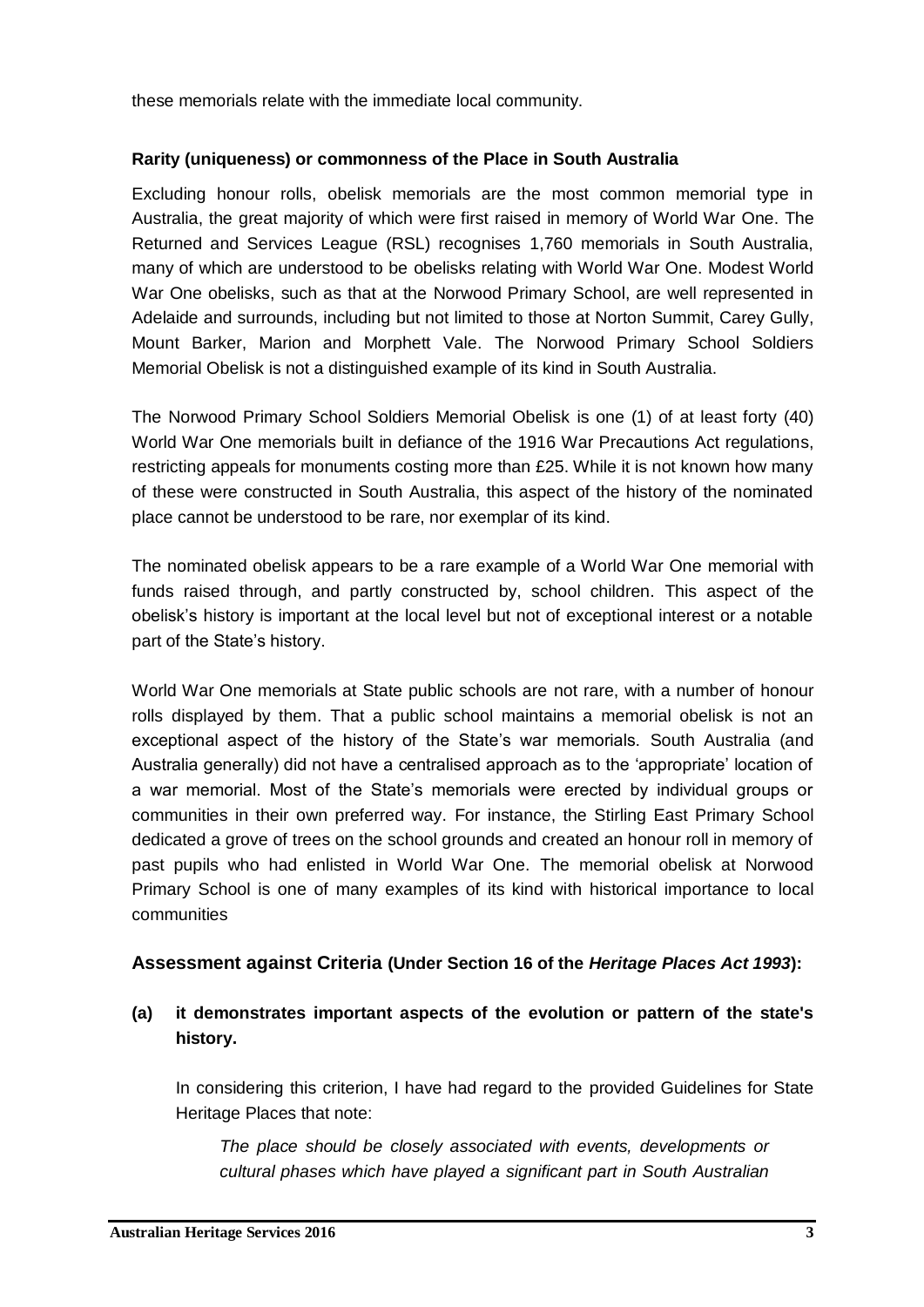these memorials relate with the immediate local community.

#### **Rarity (uniqueness) or commonness of the Place in South Australia**

Excluding honour rolls, obelisk memorials are the most common memorial type in Australia, the great majority of which were first raised in memory of World War One. The Returned and Services League (RSL) recognises 1,760 memorials in South Australia, many of which are understood to be obelisks relating with World War One. Modest World War One obelisks, such as that at the Norwood Primary School, are well represented in Adelaide and surrounds, including but not limited to those at Norton Summit, Carey Gully, Mount Barker, Marion and Morphett Vale. The Norwood Primary School Soldiers Memorial Obelisk is not a distinguished example of its kind in South Australia.

The Norwood Primary School Soldiers Memorial Obelisk is one (1) of at least forty (40) World War One memorials built in defiance of the 1916 War Precautions Act regulations, restricting appeals for monuments costing more than £25. While it is not known how many of these were constructed in South Australia, this aspect of the history of the nominated place cannot be understood to be rare, nor exemplar of its kind.

The nominated obelisk appears to be a rare example of a World War One memorial with funds raised through, and partly constructed by, school children. This aspect of the obelisk's history is important at the local level but not of exceptional interest or a notable part of the State's history.

World War One memorials at State public schools are not rare, with a number of honour rolls displayed by them. That a public school maintains a memorial obelisk is not an exceptional aspect of the history of the State's war memorials. South Australia (and Australia generally) did not have a centralised approach as to the 'appropriate' location of a war memorial. Most of the State's memorials were erected by individual groups or communities in their own preferred way. For instance, the Stirling East Primary School dedicated a grove of trees on the school grounds and created an honour roll in memory of past pupils who had enlisted in World War One. The memorial obelisk at Norwood Primary School is one of many examples of its kind with historical importance to local communities

#### **Assessment against Criteria (Under Section 16 of the** *Heritage Places Act 1993***):**

#### **(a) it demonstrates important aspects of the evolution or pattern of the state's history.**

In considering this criterion, I have had regard to the provided Guidelines for State Heritage Places that note:

*The place should be closely associated with events, developments or cultural phases which have played a significant part in South Australian*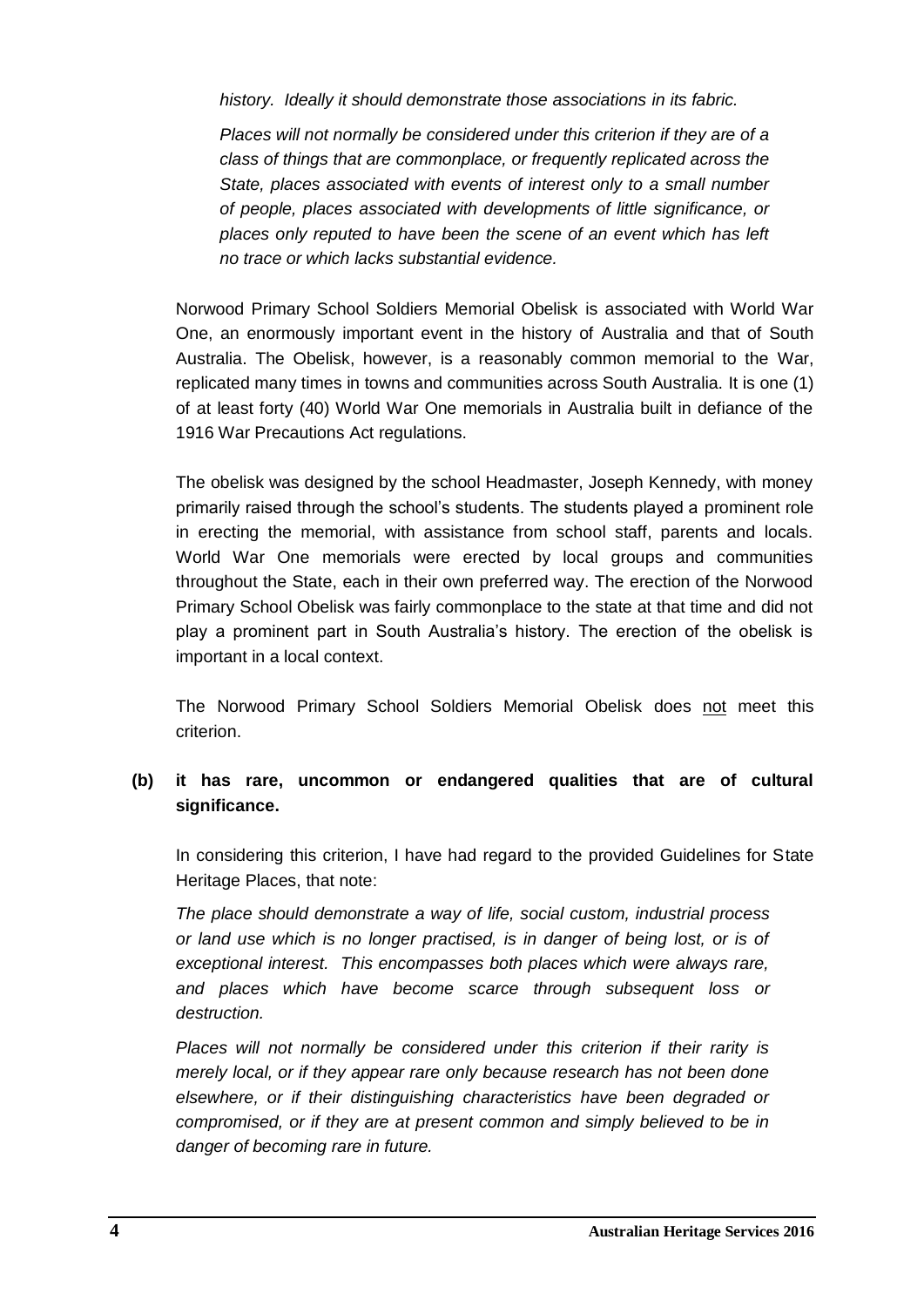*history. Ideally it should demonstrate those associations in its fabric.*

*Places will not normally be considered under this criterion if they are of a class of things that are commonplace, or frequently replicated across the State, places associated with events of interest only to a small number of people, places associated with developments of little significance, or places only reputed to have been the scene of an event which has left no trace or which lacks substantial evidence.*

Norwood Primary School Soldiers Memorial Obelisk is associated with World War One, an enormously important event in the history of Australia and that of South Australia. The Obelisk, however, is a reasonably common memorial to the War, replicated many times in towns and communities across South Australia. It is one (1) of at least forty (40) World War One memorials in Australia built in defiance of the 1916 War Precautions Act regulations.

The obelisk was designed by the school Headmaster, Joseph Kennedy, with money primarily raised through the school's students. The students played a prominent role in erecting the memorial, with assistance from school staff, parents and locals. World War One memorials were erected by local groups and communities throughout the State, each in their own preferred way. The erection of the Norwood Primary School Obelisk was fairly commonplace to the state at that time and did not play a prominent part in South Australia's history. The erection of the obelisk is important in a local context.

The Norwood Primary School Soldiers Memorial Obelisk does not meet this criterion.

## **(b) it has rare, uncommon or endangered qualities that are of cultural significance.**

In considering this criterion, I have had regard to the provided Guidelines for State Heritage Places, that note:

*The place should demonstrate a way of life, social custom, industrial process or land use which is no longer practised, is in danger of being lost, or is of exceptional interest. This encompasses both places which were always rare, and places which have become scarce through subsequent loss or destruction.*

*Places will not normally be considered under this criterion if their rarity is merely local, or if they appear rare only because research has not been done elsewhere, or if their distinguishing characteristics have been degraded or compromised, or if they are at present common and simply believed to be in danger of becoming rare in future.*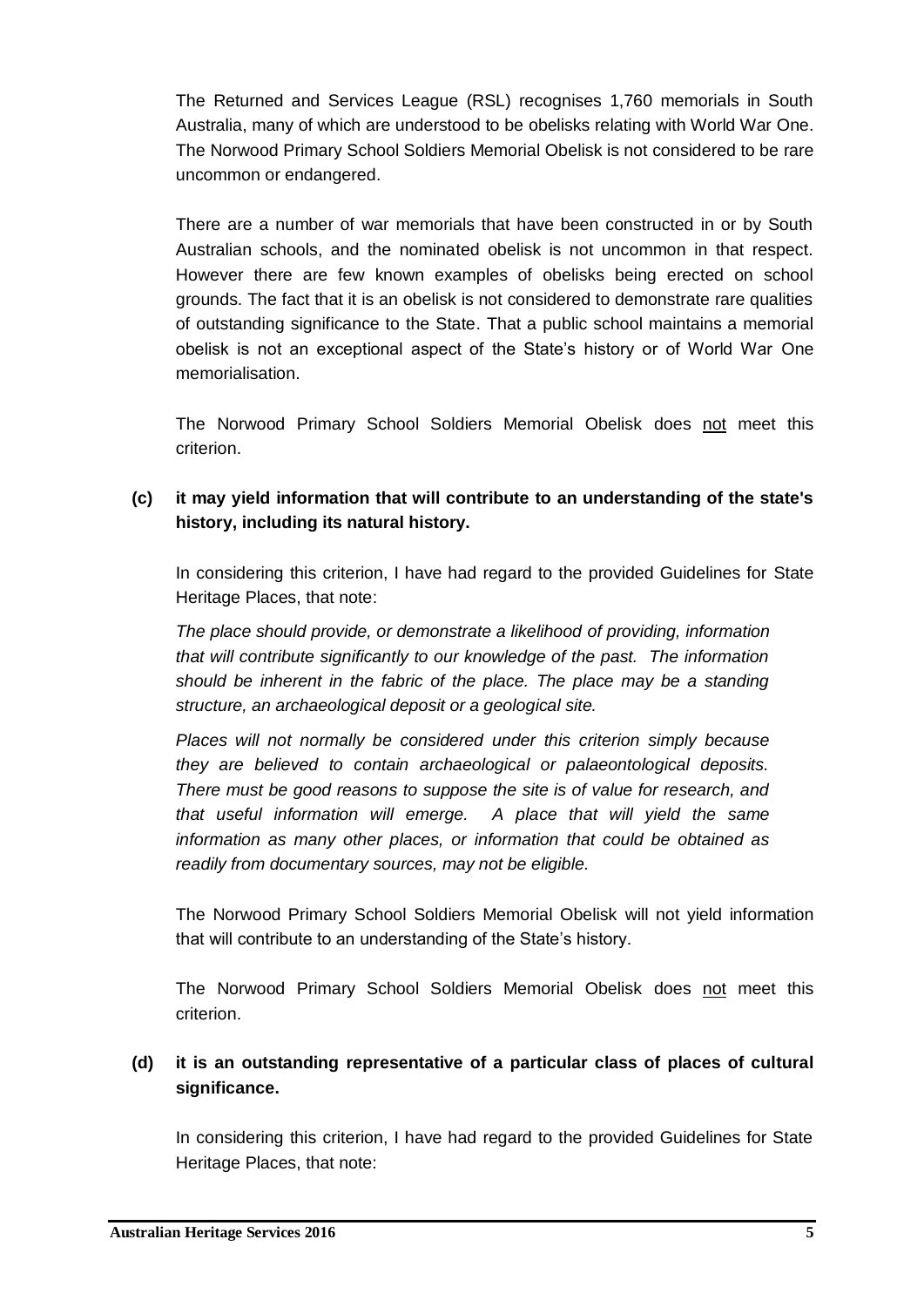The Returned and Services League (RSL) recognises 1,760 memorials in South Australia, many of which are understood to be obelisks relating with World War One. The Norwood Primary School Soldiers Memorial Obelisk is not considered to be rare uncommon or endangered.

There are a number of war memorials that have been constructed in or by South Australian schools, and the nominated obelisk is not uncommon in that respect. However there are few known examples of obelisks being erected on school grounds. The fact that it is an obelisk is not considered to demonstrate rare qualities of outstanding significance to the State. That a public school maintains a memorial obelisk is not an exceptional aspect of the State's history or of World War One memorialisation.

The Norwood Primary School Soldiers Memorial Obelisk does not meet this criterion.

## **(c) it may yield information that will contribute to an understanding of the state's history, including its natural history.**

In considering this criterion, I have had regard to the provided Guidelines for State Heritage Places, that note:

*The place should provide, or demonstrate a likelihood of providing, information that will contribute significantly to our knowledge of the past. The information should be inherent in the fabric of the place. The place may be a standing structure, an archaeological deposit or a geological site.*

*Places will not normally be considered under this criterion simply because they are believed to contain archaeological or palaeontological deposits. There must be good reasons to suppose the site is of value for research, and that useful information will emerge. A place that will yield the same information as many other places, or information that could be obtained as readily from documentary sources, may not be eligible.*

The Norwood Primary School Soldiers Memorial Obelisk will not yield information that will contribute to an understanding of the State's history.

The Norwood Primary School Soldiers Memorial Obelisk does not meet this criterion.

## **(d) it is an outstanding representative of a particular class of places of cultural significance.**

In considering this criterion, I have had regard to the provided Guidelines for State Heritage Places, that note: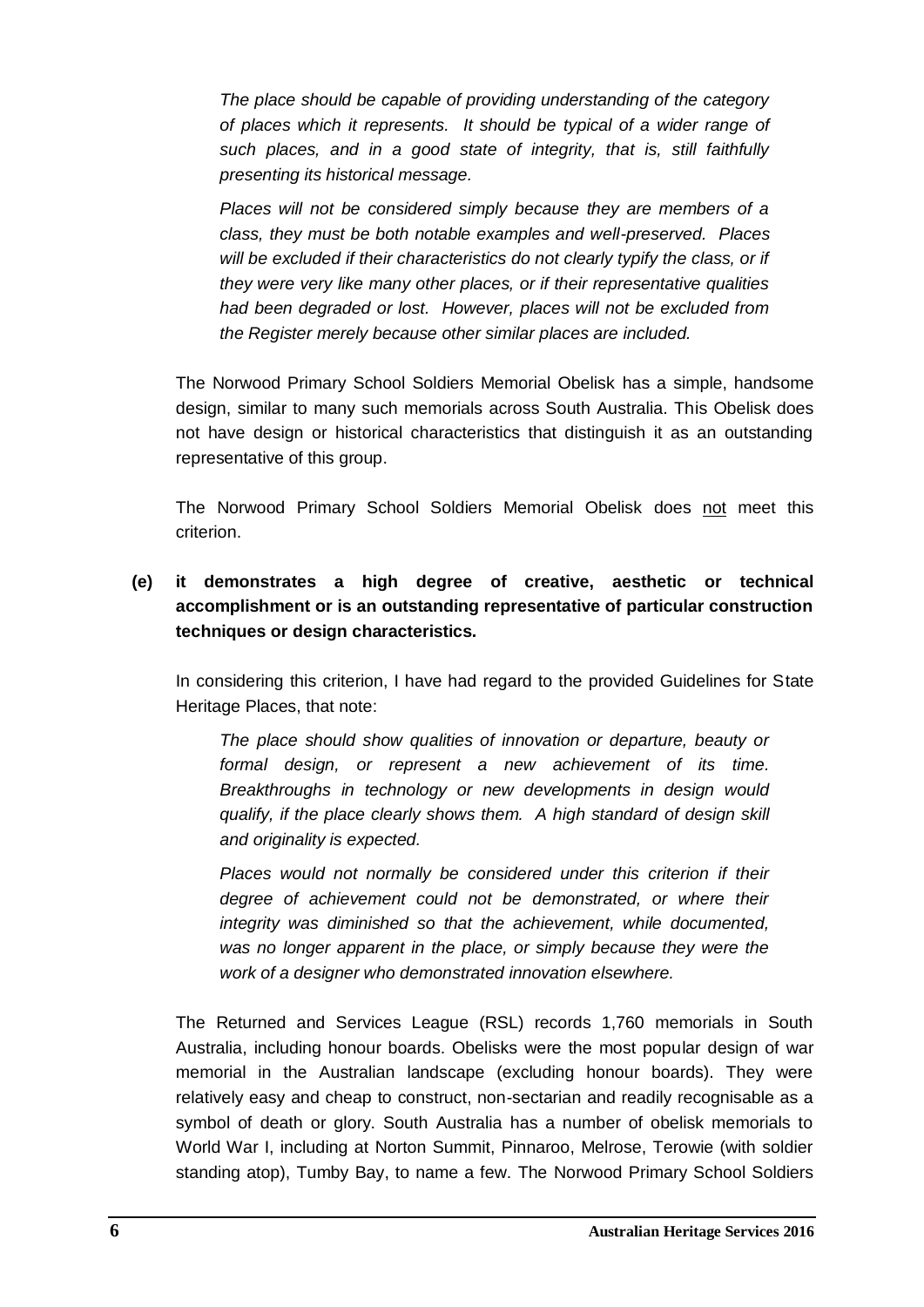*The place should be capable of providing understanding of the category of places which it represents. It should be typical of a wider range of such places, and in a good state of integrity, that is, still faithfully presenting its historical message.*

*Places will not be considered simply because they are members of a class, they must be both notable examples and well-preserved. Places will be excluded if their characteristics do not clearly typify the class, or if they were very like many other places, or if their representative qualities had been degraded or lost. However, places will not be excluded from the Register merely because other similar places are included.*

The Norwood Primary School Soldiers Memorial Obelisk has a simple, handsome design, similar to many such memorials across South Australia. This Obelisk does not have design or historical characteristics that distinguish it as an outstanding representative of this group.

The Norwood Primary School Soldiers Memorial Obelisk does not meet this criterion.

**(e) it demonstrates a high degree of creative, aesthetic or technical accomplishment or is an outstanding representative of particular construction techniques or design characteristics.**

In considering this criterion, I have had regard to the provided Guidelines for State Heritage Places, that note:

*The place should show qualities of innovation or departure, beauty or formal design, or represent a new achievement of its time. Breakthroughs in technology or new developments in design would qualify, if the place clearly shows them. A high standard of design skill and originality is expected.*

*Places would not normally be considered under this criterion if their degree of achievement could not be demonstrated, or where their integrity was diminished so that the achievement, while documented, was no longer apparent in the place, or simply because they were the work of a designer who demonstrated innovation elsewhere.*

The Returned and Services League (RSL) records 1,760 memorials in South Australia, including honour boards. Obelisks were the most popular design of war memorial in the Australian landscape (excluding honour boards). They were relatively easy and cheap to construct, non-sectarian and readily recognisable as a symbol of death or glory. South Australia has a number of obelisk memorials to World War I, including at Norton Summit, Pinnaroo, Melrose, Terowie (with soldier standing atop), Tumby Bay, to name a few. The Norwood Primary School Soldiers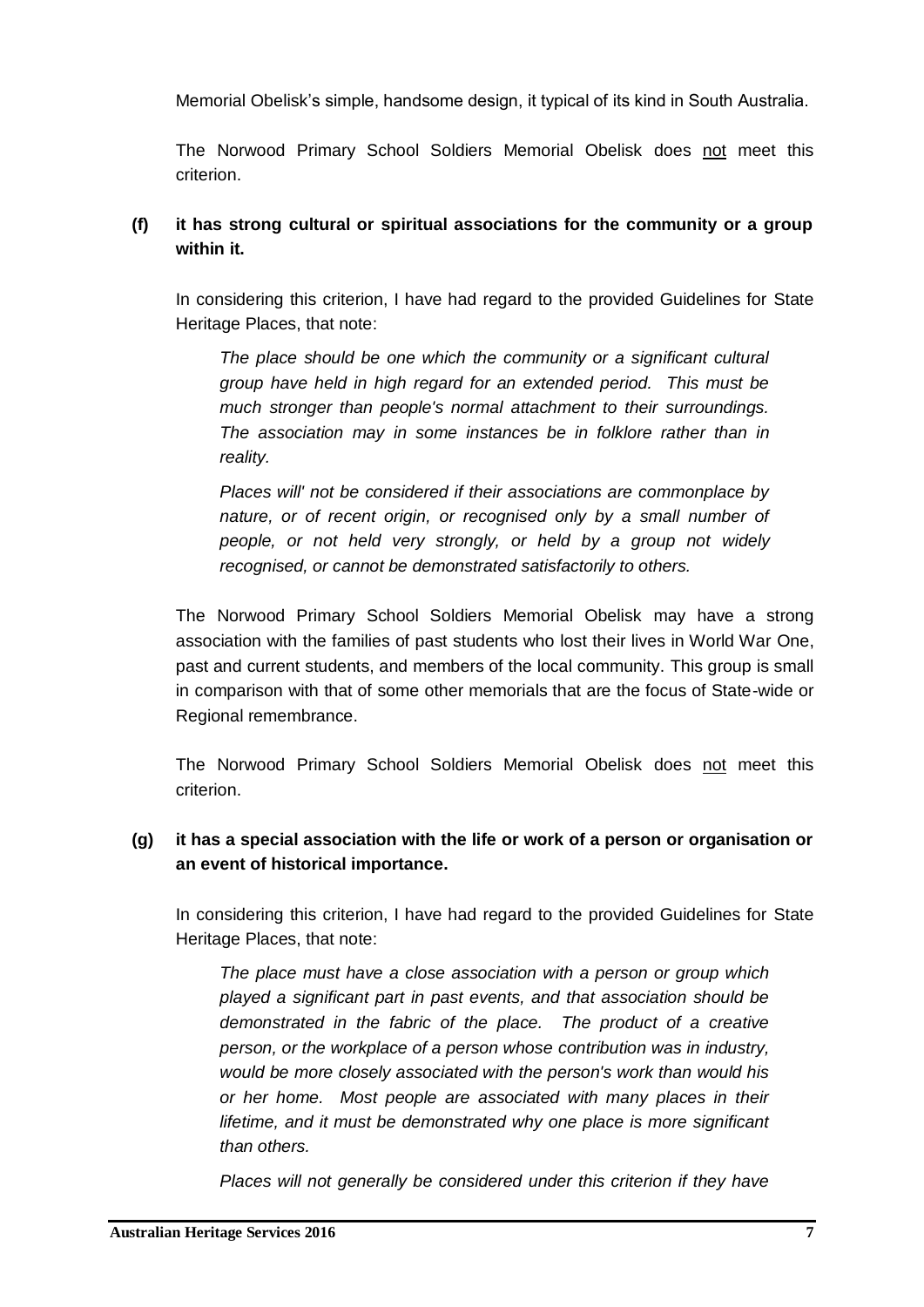Memorial Obelisk's simple, handsome design, it typical of its kind in South Australia.

The Norwood Primary School Soldiers Memorial Obelisk does not meet this criterion.

## **(f) it has strong cultural or spiritual associations for the community or a group within it.**

In considering this criterion, I have had regard to the provided Guidelines for State Heritage Places, that note:

*The place should be one which the community or a significant cultural group have held in high regard for an extended period. This must be much stronger than people's normal attachment to their surroundings. The association may in some instances be in folklore rather than in reality.*

*Places will' not be considered if their associations are commonplace by nature, or of recent origin, or recognised only by a small number of people, or not held very strongly, or held by a group not widely recognised, or cannot be demonstrated satisfactorily to others.*

The Norwood Primary School Soldiers Memorial Obelisk may have a strong association with the families of past students who lost their lives in World War One, past and current students, and members of the local community. This group is small in comparison with that of some other memorials that are the focus of State-wide or Regional remembrance.

The Norwood Primary School Soldiers Memorial Obelisk does not meet this criterion.

## **(g) it has a special association with the life or work of a person or organisation or an event of historical importance.**

In considering this criterion, I have had regard to the provided Guidelines for State Heritage Places, that note:

*The place must have a close association with a person or group which played a significant part in past events, and that association should be demonstrated in the fabric of the place. The product of a creative person, or the workplace of a person whose contribution was in industry, would be more closely associated with the person's work than would his or her home. Most people are associated with many places in their lifetime, and it must be demonstrated why one place is more significant than others.*

*Places will not generally be considered under this criterion if they have*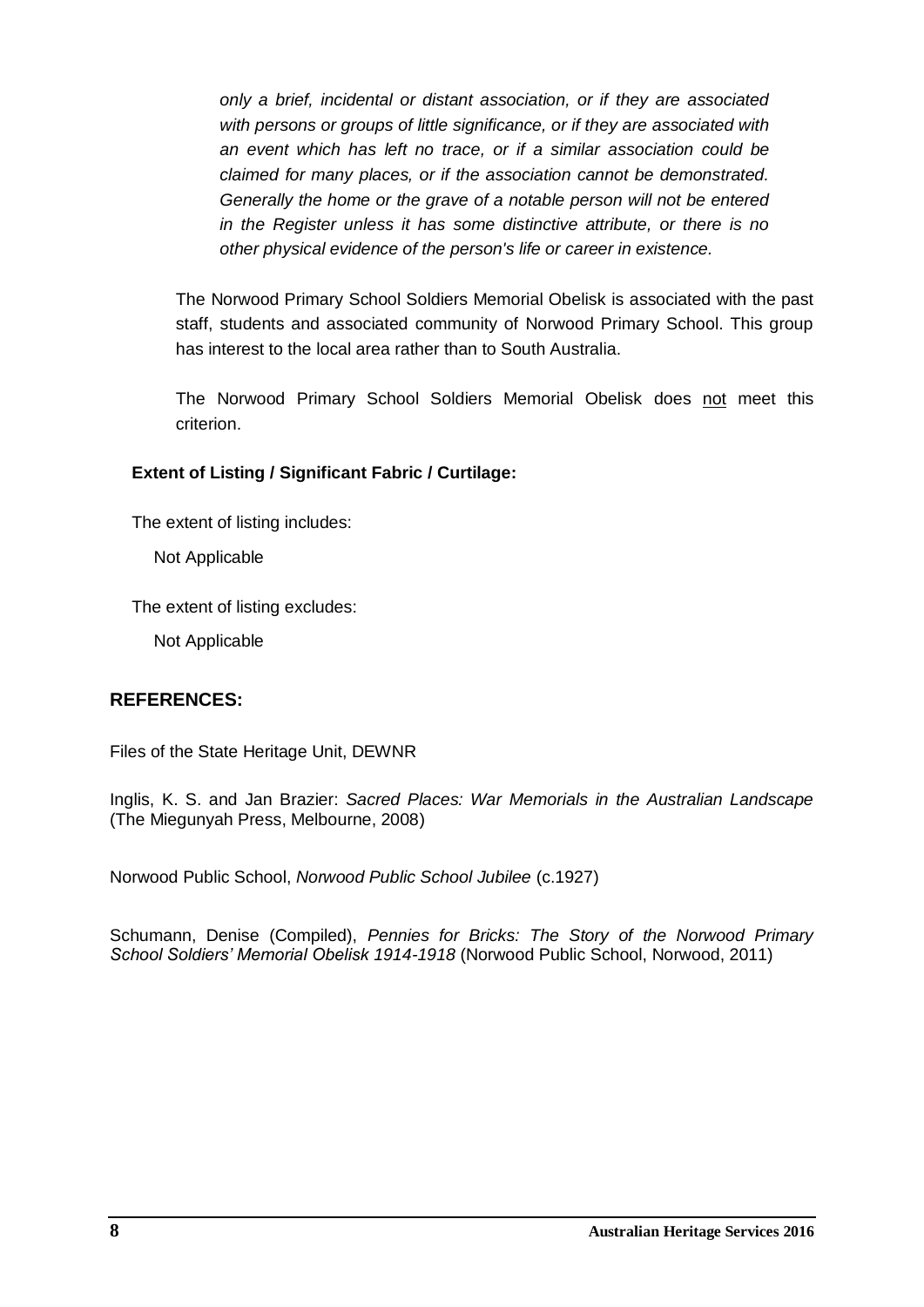*only a brief, incidental or distant association, or if they are associated with persons or groups of little significance, or if they are associated with an event which has left no trace, or if a similar association could be claimed for many places, or if the association cannot be demonstrated. Generally the home or the grave of a notable person will not be entered in the Register unless it has some distinctive attribute, or there is no other physical evidence of the person's life or career in existence.*

The Norwood Primary School Soldiers Memorial Obelisk is associated with the past staff, students and associated community of Norwood Primary School. This group has interest to the local area rather than to South Australia.

The Norwood Primary School Soldiers Memorial Obelisk does not meet this criterion.

#### **Extent of Listing / Significant Fabric / Curtilage:**

The extent of listing includes:

Not Applicable

The extent of listing excludes:

Not Applicable

## **REFERENCES:**

Files of the State Heritage Unit, DEWNR

Inglis, K. S. and Jan Brazier: *Sacred Places: War Memorials in the Australian Landscape* (The Miegunyah Press, Melbourne, 2008)

Norwood Public School, *Norwood Public School Jubilee* (c.1927)

Schumann, Denise (Compiled), *Pennies for Bricks: The Story of the Norwood Primary School Soldiers' Memorial Obelisk 1914-1918* (Norwood Public School, Norwood, 2011)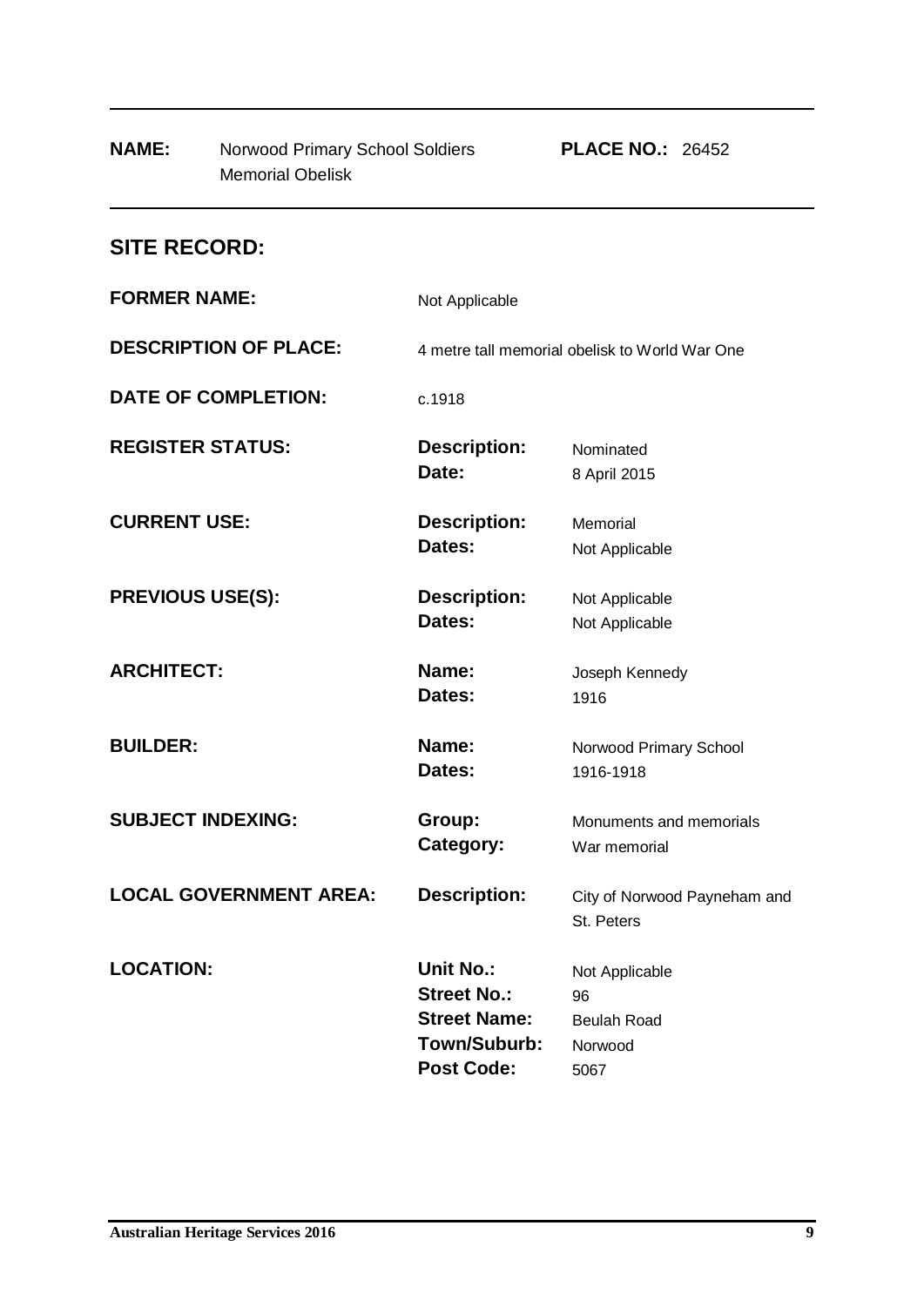| <b>Memorial Obelisk</b>       |                                                                                             |                                                               |
|-------------------------------|---------------------------------------------------------------------------------------------|---------------------------------------------------------------|
| <b>SITE RECORD:</b>           |                                                                                             |                                                               |
| <b>FORMER NAME:</b>           | Not Applicable                                                                              |                                                               |
| <b>DESCRIPTION OF PLACE:</b>  | 4 metre tall memorial obelisk to World War One                                              |                                                               |
| <b>DATE OF COMPLETION:</b>    | c.1918                                                                                      |                                                               |
| <b>REGISTER STATUS:</b>       | <b>Description:</b><br>Date:                                                                | Nominated<br>8 April 2015                                     |
| <b>CURRENT USE:</b>           | <b>Description:</b><br>Dates:                                                               | Memorial<br>Not Applicable                                    |
| <b>PREVIOUS USE(S):</b>       | <b>Description:</b><br>Dates:                                                               | Not Applicable<br>Not Applicable                              |
| <b>ARCHITECT:</b>             | Name:<br>Dates:                                                                             | Joseph Kennedy<br>1916                                        |
| <b>BUILDER:</b>               | Name:<br>Dates:                                                                             | Norwood Primary School<br>1916-1918                           |
| <b>SUBJECT INDEXING:</b>      | Group:<br>Category:                                                                         | Monuments and memorials<br>War memorial                       |
| <b>LOCAL GOVERNMENT AREA:</b> | <b>Description:</b>                                                                         | City of Norwood Payneham and<br>St. Peters                    |
| <b>LOCATION:</b>              | Unit No.:<br><b>Street No.:</b><br><b>Street Name:</b><br>Town/Suburb:<br><b>Post Code:</b> | Not Applicable<br>96<br><b>Beulah Road</b><br>Norwood<br>5067 |

**NAME:** Norwood Primary School Soldiers **PLACE NO.:** 26452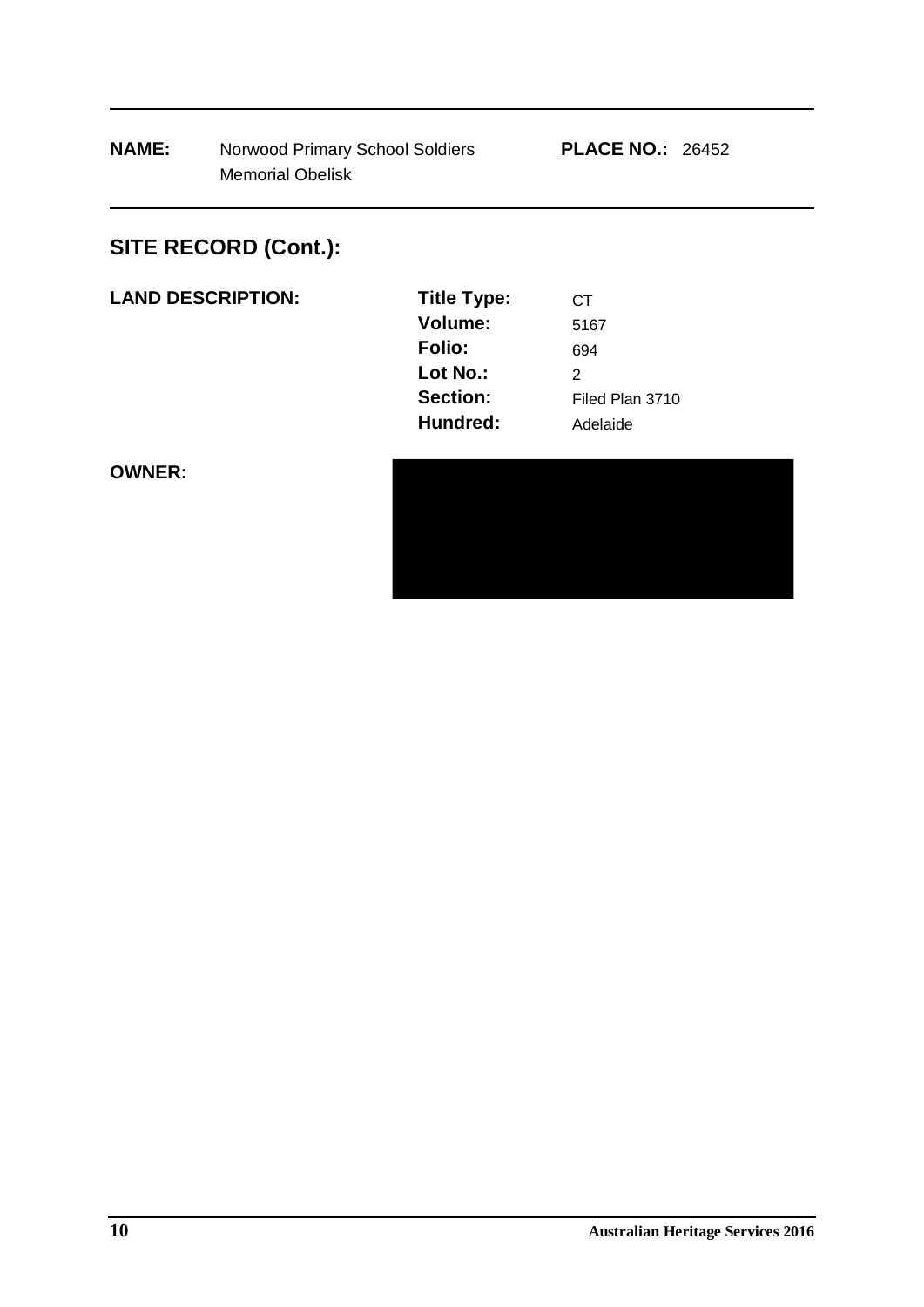# **SITE RECORD (Cont.):**

| <b>LAND DESCRIPTION:</b> | <b>Title Type:</b> | CТ |
|--------------------------|--------------------|----|
|--------------------------|--------------------|----|

| <b>Title Type:</b> | CТ              |
|--------------------|-----------------|
| Volume:            | 5167            |
| <b>Folio:</b>      | 694             |
| Lot No.:           | 2               |
| Section:           | Filed Plan 3710 |
| Hundred:           | Adelaide        |

**OWNER:**

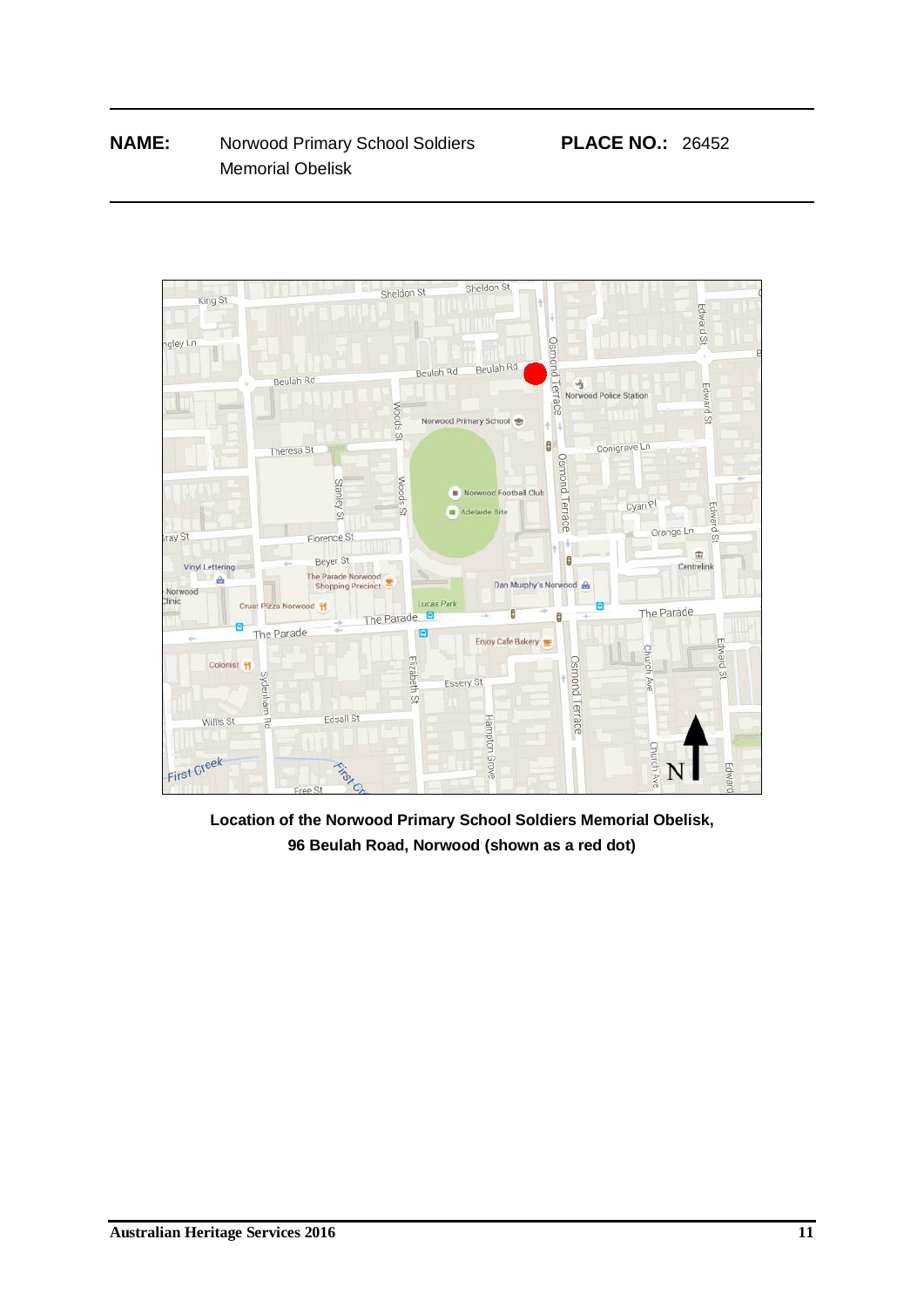

**Location of the Norwood Primary School Soldiers Memorial Obelisk, 96 Beulah Road, Norwood (shown as a red dot)**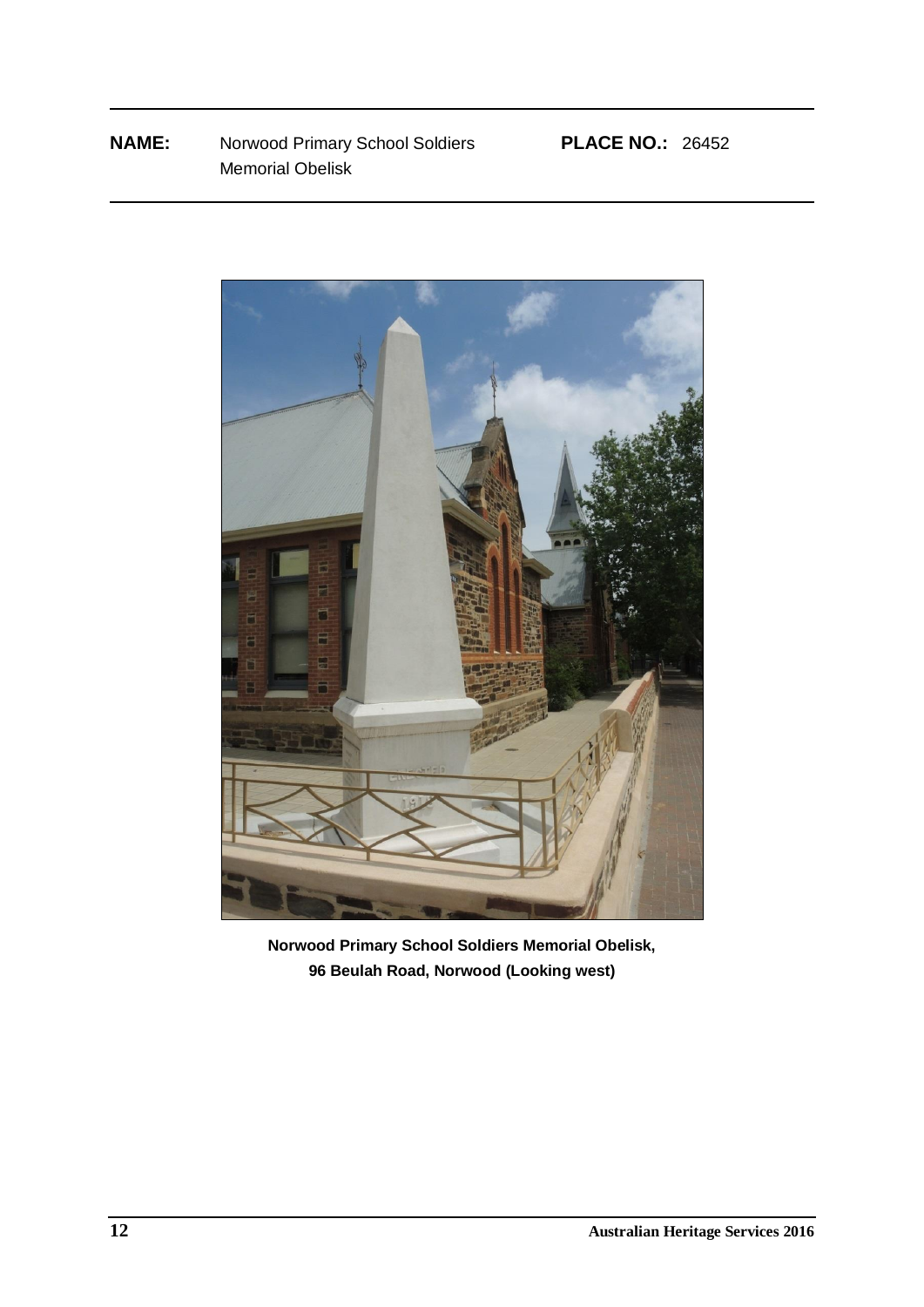

**Norwood Primary School Soldiers Memorial Obelisk, 96 Beulah Road, Norwood (Looking west)**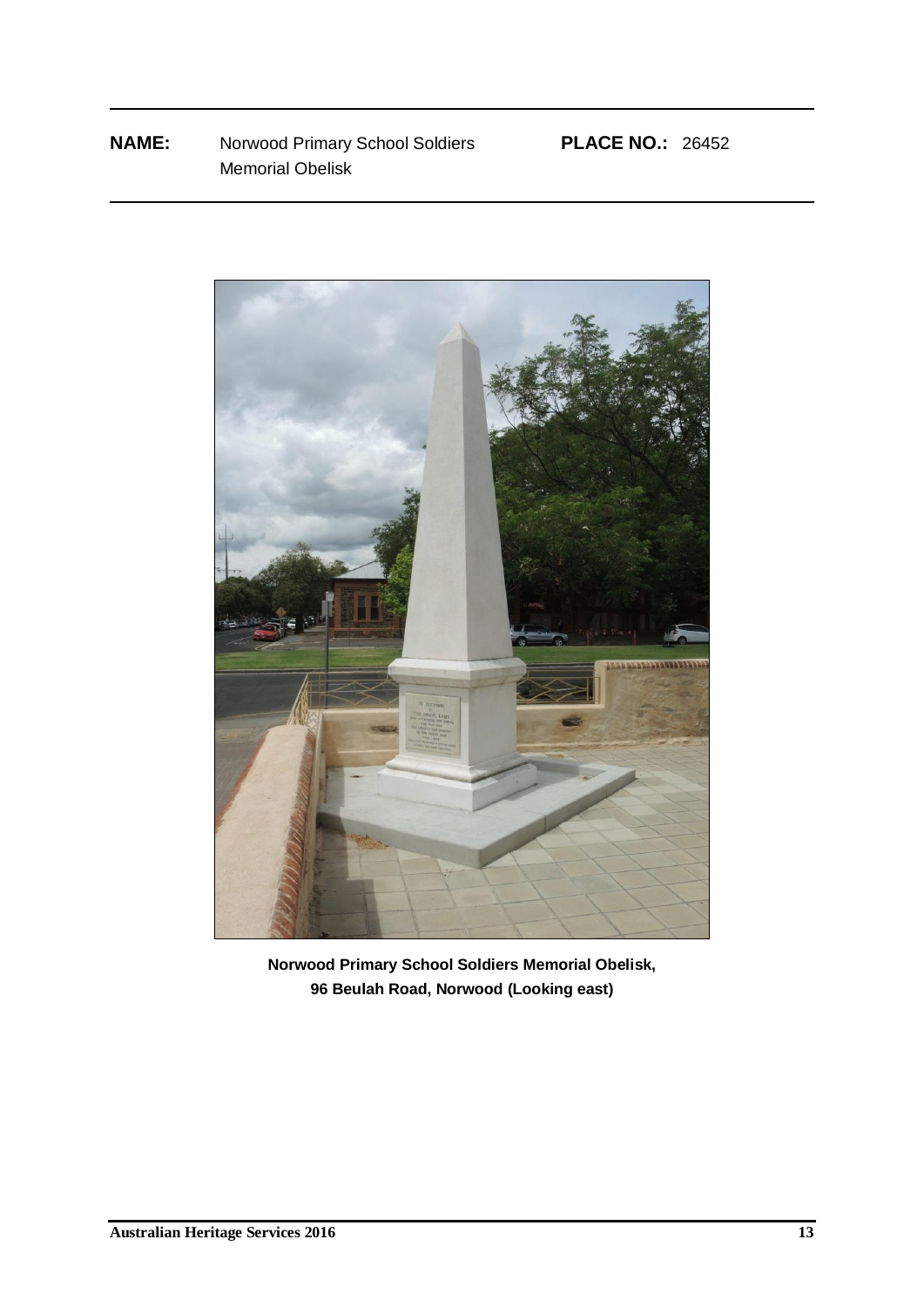

**Norwood Primary School Soldiers Memorial Obelisk, 96 Beulah Road, Norwood (Looking east)**